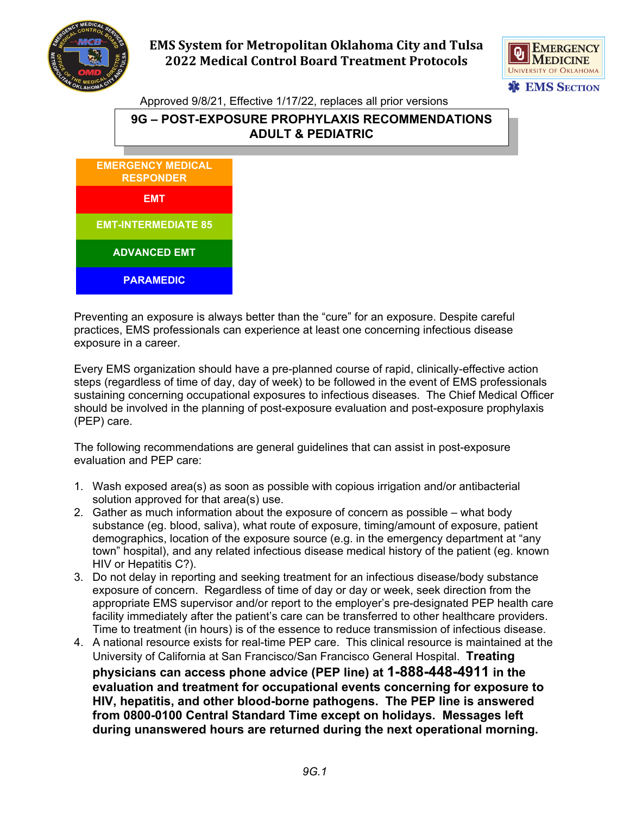

## **EMS System for Metropolitan Oklahoma City and Tulsa 2022 Medical Control Board Treatment Protocols**



Approved 9/8/21, Effective 1/17/22, replaces all prior versions

## **9G – POST-EXPOSURE PROPHYLAXIS RECOMMENDATIONS ADULT & PEDIATRIC**



Preventing an exposure is always better than the "cure" for an exposure. Despite careful practices, EMS professionals can experience at least one concerning infectious disease exposure in a career.

Every EMS organization should have a pre-planned course of rapid, clinically-effective action steps (regardless of time of day, day of week) to be followed in the event of EMS professionals sustaining concerning occupational exposures to infectious diseases. The Chief Medical Officer should be involved in the planning of post-exposure evaluation and post-exposure prophylaxis (PEP) care.

The following recommendations are general guidelines that can assist in post-exposure evaluation and PEP care:

- 1. Wash exposed area(s) as soon as possible with copious irrigation and/or antibacterial solution approved for that area(s) use.
- 2. Gather as much information about the exposure of concern as possible what body substance (eg. blood, saliva), what route of exposure, timing/amount of exposure, patient demographics, location of the exposure source (e.g. in the emergency department at "any town" hospital), and any related infectious disease medical history of the patient (eg. known HIV or Hepatitis C?).
- 3. Do not delay in reporting and seeking treatment for an infectious disease/body substance exposure of concern. Regardless of time of day or day or week, seek direction from the appropriate EMS supervisor and/or report to the employer's pre-designated PEP health care facility immediately after the patient's care can be transferred to other healthcare providers. Time to treatment (in hours) is of the essence to reduce transmission of infectious disease.
- 4. A national resource exists for real-time PEP care. This clinical resource is maintained at the University of California at San Francisco/San Francisco General Hospital. **Treating physicians can access phone advice (PEP line) at 1-888-448-4911 in the evaluation and treatment for occupational events concerning for exposure to HIV, hepatitis, and other blood-borne pathogens. The PEP line is answered from 0800-0100 Central Standard Time except on holidays. Messages left during unanswered hours are returned during the next operational morning.**